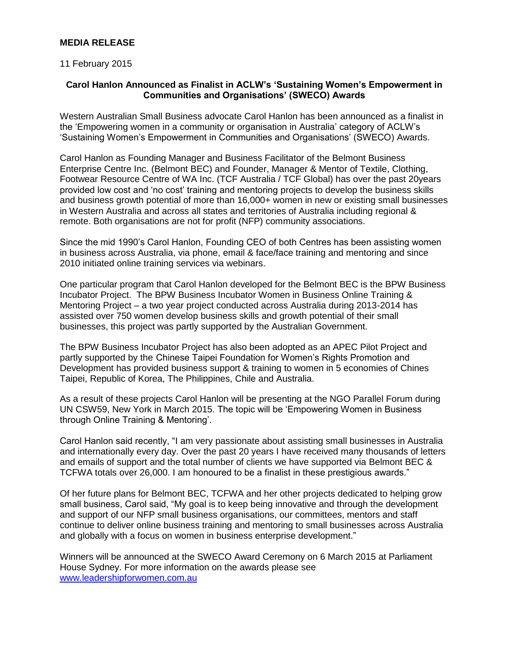## **MEDIA RELEASE**

### 11 February 2015

# **Carol Hanlon Announced as Finalist in ACLW's 'Sustaining Women's Empowerment in Communities and Organisations' (SWECO) Awards**

Western Australian Small Business advocate Carol Hanlon has been announced as a finalist in the 'Empowering women in a community or organisation in Australia' category of ACLW's 'Sustaining Women's Empowerment in Communities and Organisations' (SWECO) Awards.

Carol Hanlon as Founding Manager and Business Facilitator of the Belmont Business Enterprise Centre Inc. (Belmont BEC) and Founder, Manager & Mentor of Textile, Clothing, Footwear Resource Centre of WA Inc. (TCF Australia / TCF Global) has over the past 20years provided low cost and 'no cost' training and mentoring projects to develop the business skills and business growth potential of more than 16,000+ women in new or existing small businesses in Western Australia and across all states and territories of Australia including regional & remote. Both organisations are not for profit (NFP) community associations.

Since the mid 1990's Carol Hanlon, Founding CEO of both Centres has been assisting women in business across Australia, via phone, email & face/face training and mentoring and since 2010 initiated online training services via webinars.

One particular program that Carol Hanlon developed for the Belmont BEC is the BPW Business Incubator Project. The BPW Business Incubator Women in Business Online Training & Mentoring Project – a two year project conducted across Australia during 2013-2014 has assisted over 750 women develop business skills and growth potential of their small businesses, this project was partly supported by the Australian Government.

The BPW Business Incubator Project has also been adopted as an APEC Pilot Project and partly supported by the Chinese Taipei Foundation for Women's Rights Promotion and Development has provided business support & training to women in 5 economies of Chines Taipei, Republic of Korea, The Philippines, Chile and Australia.

As a result of these projects Carol Hanlon will be presenting at the NGO Parallel Forum during UN CSW59, New York in March 2015. The topic will be 'Empowering Women in Business through Online Training & Mentoring'.

Carol Hanlon said recently, "I am very passionate about assisting small businesses in Australia and internationally every day. Over the past 20 years I have received many thousands of letters and emails of support and the total number of clients we have supported via Belmont BEC & TCFWA totals over 26,000. I am honoured to be a finalist in these prestigious awards."

Of her future plans for Belmont BEC, TCFWA and her other projects dedicated to helping grow small business, Carol said, "My goal is to keep being innovative and through the development and support of our NFP small business organisations, our committees, mentors and staff continue to deliver online business training and mentoring to small businesses across Australia and globally with a focus on women in business enterprise development."

Winners will be announced at the SWECO Award Ceremony on 6 March 2015 at Parliament House Sydney. For more information on the awards please see [www.leadershipforwomen.com.au](http://www.leadershipforwomen.com.au/)